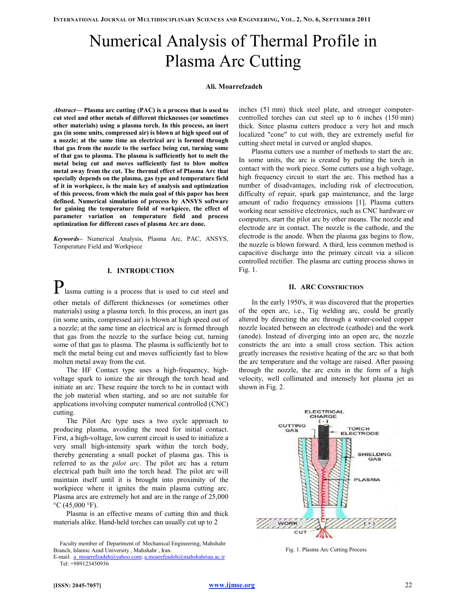# Numerical Analysis of Thermal Profile in Plasma Arc Cutting

#### Ali. Moarrefzadeh

Abstract— Plasma arc cutting (PAC) is a process that is used to cut steel and other metals of different thicknesses (or sometimes other materials) using a plasma torch. In this process, an inert gas (in some units, compressed air) is blown at high speed out of a nozzle; at the same time an electrical arc is formed through that gas from the nozzle to the surface being cut, turning some of that gas to plasma. The plasma is sufficiently hot to melt the metal being cut and moves sufficiently fast to blow molten metal away from the cut. The thermal effect of Plasma Arc that specially depends on the plasma, gas type and temperature field of it in workpiece, is the main key of analysis and optimization of this process, from which the main goal of this paper has been defined. Numerical simulation of process by ANSYS software for gaining the temperature field of workpiece, the effect of parameter variation on temperature field and process optimization for different cases of plasma Arc are done.

Keywords– Numerical Analysis, Plasma Arc, PAC, ANSYS, Temperature Field and Workpiece

# I. INTRODUCTION

**P** lasma cutting is a process that is used to cut steel and other metals of different thicknesses (or sometimes other materials) using a plasma torch. In this process, an inert gas (in some units, compressed air) is blown at high speed out of a nozzle; at the same time an electrical arc is formed through that gas from the nozzle to the surface being cut, turning some of that gas to plasma. The plasma is sufficiently hot to melt the metal being cut and moves sufficiently fast to blow molten metal away from the cut.

The HF Contact type uses a high-frequency, highvoltage spark to ionize the air through the torch head and initiate an arc. These require the torch to be in contact with the job material when starting, and so are not suitable for applications involving computer numerical controlled (CNC) cutting.

The Pilot Arc type uses a two cycle approach to producing plasma, avoiding the need for initial contact. First, a high-voltage, low current circuit is used to initialize a very small high-intensity spark within the torch body, thereby generating a small pocket of plasma gas. This is referred to as the pilot arc. The pilot arc has a return electrical path built into the torch head. The pilot arc will maintain itself until it is brought into proximity of the workpiece where it ignites the main plasma cutting arc. Plasma arcs are extremely hot and are in the range of 25,000  $\rm{^{\circ}C}$  (45,000  $\rm{^{\circ}F}$ ).

Plasma is an effective means of cutting thin and thick materials alike. Hand-held torches can usually cut up to 2

Faculty member of Department of Mechanical Engineering, Mahshahr Branch, Islamic Azad University , Mahshahr , Iran.

inches (51 mm) thick steel plate, and stronger computercontrolled torches can cut steel up to 6 inches (150 mm) thick. Since plasma cutters produce a very hot and much localized "cone" to cut with, they are extremely useful for cutting sheet metal in curved or angled shapes.

Plasma cutters use a number of methods to start the arc. In some units, the arc is created by putting the torch in contact with the work piece. Some cutters use a high voltage, high frequency circuit to start the arc. This method has a number of disadvantages, including risk of electrocution, difficulty of repair, spark gap maintenance, and the large amount of radio frequency emissions [1]. Plasma cutters working near sensitive electronics, such as CNC hardware or computers, start the pilot arc by other means. The nozzle and electrode are in contact. The nozzle is the cathode, and the electrode is the anode. When the plasma gas begins to flow, the nozzle is blown forward. A third, less common method is capacitive discharge into the primary circuit via a silicon controlled rectifier. The plasma arc cutting process shows in Fig. 1.

## II. ARC CONSTRICTION

In the early 1950's, it was discovered that the properties of the open arc, i.e., Tig welding arc, could be greatly altered by directing the arc through a water-cooled copper nozzle located between an electrode (cathode) and the work (anode). Instead of diverging into an open arc, the nozzle constricts the arc into a small cross section. This action greatly increases the resistive heating of the arc so that both the arc temperature and the voltage are raised. After passing through the nozzle, the arc exits in the form of a high velocity, well collimated and intensely hot plasma jet as shown in Fig. 2.



Fig. 1. Plasma Arc Cutting Process

E-mail: a\_moarrefzadeh@yahoo.com; a.moarefzadeh@mahshahriau.ac.ir Tel: +989123450936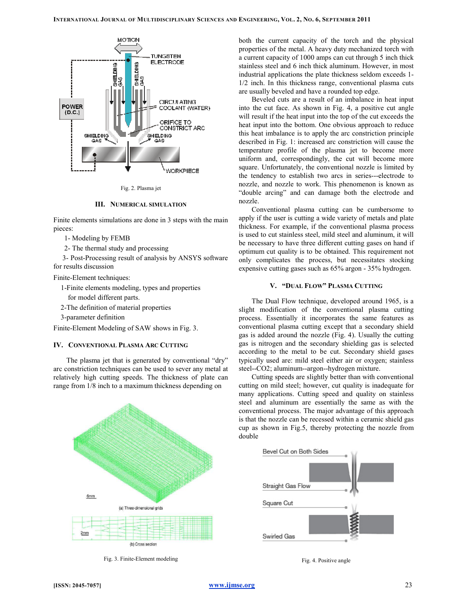

Fig. 2. Plasma jet

#### III. NUMERICAL SIMULATION

Finite elements simulations are done in 3 steps with the main pieces:

1- Modeling by FEMB

2- The thermal study and processing

 3- Post-Processing result of analysis by ANSYS software for results discussion

Finite-Element techniques:

1-Finite elements modeling, types and properties

for model different parts.

2-The definition of material properties

3-parameter definition

Finite-Element Modeling of SAW shows in Fig. 3.

# IV. CONVENTIONAL PLASMA ARC CUTTING

The plasma jet that is generated by conventional "dry" arc constriction techniques can be used to sever any metal at relatively high cutting speeds. The thickness of plate can range from 1/8 inch to a maximum thickness depending on



Fig. 3. Finite-Element modeling

both the current capacity of the torch and the physical properties of the metal. A heavy duty mechanized torch with a current capacity of 1000 amps can cut through 5 inch thick stainless steel and 6 inch thick aluminum. However, in most industrial applications the plate thickness seldom exceeds 1- 1/2 inch. In this thickness range, conventional plasma cuts are usually beveled and have a rounded top edge.

Beveled cuts are a result of an imbalance in heat input into the cut face. As shown in Fig. 4, a positive cut angle will result if the heat input into the top of the cut exceeds the heat input into the bottom. One obvious approach to reduce this heat imbalance is to apply the arc constriction principle described in Fig. 1: increased arc constriction will cause the temperature profile of the plasma jet to become more uniform and, correspondingly, the cut will become more square. Unfortunately, the conventional nozzle is limited by the tendency to establish two arcs in series---electrode to nozzle, and nozzle to work. This phenomenon is known as "double arcing" and can damage both the electrode and nozzle.

Conventional plasma cutting can be cumbersome to apply if the user is cutting a wide variety of metals and plate thickness. For example, if the conventional plasma process is used to cut stainless steel, mild steel and aluminum, it will be necessary to have three different cutting gases on hand if optimum cut quality is to be obtained. This requirement not only complicates the process, but necessitates stocking expensive cutting gases such as 65% argon - 35% hydrogen.

## V. "DUAL FLOW" PLASMA CUTTING

The Dual Flow technique, developed around 1965, is a slight modification of the conventional plasma cutting process. Essentially it incorporates the same features as conventional plasma cutting except that a secondary shield gas is added around the nozzle (Fig. 4). Usually the cutting gas is nitrogen and the secondary shielding gas is selected according to the metal to be cut. Secondary shield gases typically used are: mild steel either air or oxygen; stainless steel--CO2; aluminum--argon--hydrogen mixture.

Cutting speeds are slightly better than with conventional cutting on mild steel; however, cut quality is inadequate for many applications. Cutting speed and quality on stainless steel and aluminum are essentially the same as with the conventional process. The major advantage of this approach is that the nozzle can be recessed within a ceramic shield gas cup as shown in Fig.5, thereby protecting the nozzle from double



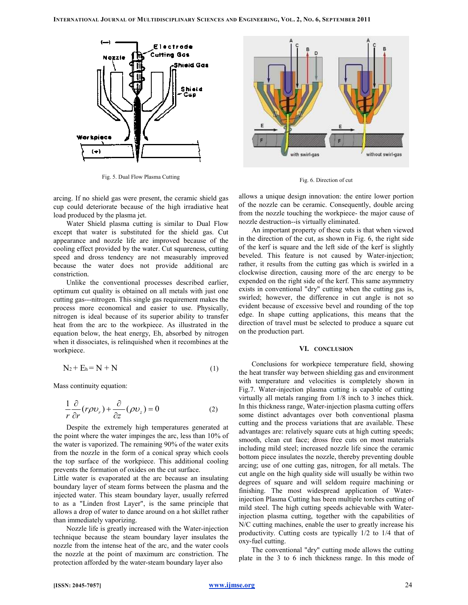

Fig. 5. Dual Flow Plasma Cutting

arcing. If no shield gas were present, the ceramic shield gas cup could deteriorate because of the high irradiative heat load produced by the plasma jet.

Water Shield plasma cutting is similar to Dual Flow except that water is substituted for the shield gas. Cut appearance and nozzle life are improved because of the cooling effect provided by the water. Cut squareness, cutting speed and dross tendency are not measurably improved because the water does not provide additional arc constriction.

Unlike the conventional processes described earlier, optimum cut quality is obtained on all metals with just one cutting gas---nitrogen. This single gas requirement makes the process more economical and easier to use. Physically, nitrogen is ideal because of its superior ability to transfer heat from the arc to the workpiece. As illustrated in the equation below, the heat energy, Eh, absorbed by nitrogen when it dissociates, is relinquished when it recombines at the workpiece.

$$
N_2 + E_h = N + N \tag{1}
$$

Mass continuity equation:

$$
\frac{1}{r}\frac{\partial}{\partial r}(r\rho v_r) + \frac{\partial}{\partial z}(\rho v_z) = 0
$$
\n(2)

Despite the extremely high temperatures generated at the point where the water impinges the arc, less than 10% of the water is vaporized. The remaining 90% of the water exits from the nozzle in the form of a conical spray which cools the top surface of the workpiece. This additional cooling prevents the formation of oxides on the cut surface.

Little water is evaporated at the arc because an insulating boundary layer of steam forms between the plasma and the injected water. This steam boundary layer, usually referred to as a "Linden frost Layer", is the same principle that allows a drop of water to dance around on a hot skillet rather than immediately vaporizing.

Nozzle life is greatly increased with the Water-injection technique because the steam boundary layer insulates the nozzle from the intense heat of the arc, and the water cools the nozzle at the point of maximum arc constriction. The protection afforded by the water-steam boundary layer also



Fig. 6. Direction of cut

allows a unique design innovation: the entire lower portion of the nozzle can be ceramic. Consequently, double arcing from the nozzle touching the workpiece- the major cause of nozzle destruction--is virtually eliminated.

An important property of these cuts is that when viewed in the direction of the cut, as shown in Fig. 6, the right side of the kerf is square and the left side of the kerf is slightly beveled. This feature is not caused by Water-injection; rather, it results from the cutting gas which is swirled in a clockwise direction, causing more of the arc energy to be expended on the right side of the kerf. This same asymmetry exists in conventional "dry" cutting when the cutting gas is, swirled; however, the difference in cut angle is not so evident because of excessive bevel and rounding of the top edge. In shape cutting applications, this means that the direction of travel must be selected to produce a square cut on the production part.

#### VI. CONCLUSION

Conclusions for workpiece temperature field, showing the heat transfer way between shielding gas and environment with temperature and velocities is completely shown in Fig.7. Water-injection plasma cutting is capable of cutting virtually all metals ranging from  $1/8$  inch to 3 inches thick. In this thickness range, Water-injection plasma cutting offers some distinct advantages over both conventional plasma cutting and the process variations that are available. These advantages are: relatively square cuts at high cutting speeds; smooth, clean cut face; dross free cuts on most materials including mild steel; increased nozzle life since the ceramic bottom piece insulates the nozzle, thereby preventing double arcing; use of one cutting gas, nitrogen, for all metals. The cut angle on the high quality side will usually be within two degrees of square and will seldom require machining or finishing. The most widespread application of Waterinjection Plasma Cutting has been multiple torches cutting of mild steel. The high cutting speeds achievable with Waterinjection plasma cutting, together with the capabilities of N/C cutting machines, enable the user to greatly increase his productivity. Cutting costs are typically 1/2 to 1/4 that of oxy-fuel cutting.

The conventional "dry" cutting mode allows the cutting plate in the 3 to 6 inch thickness range. In this mode of